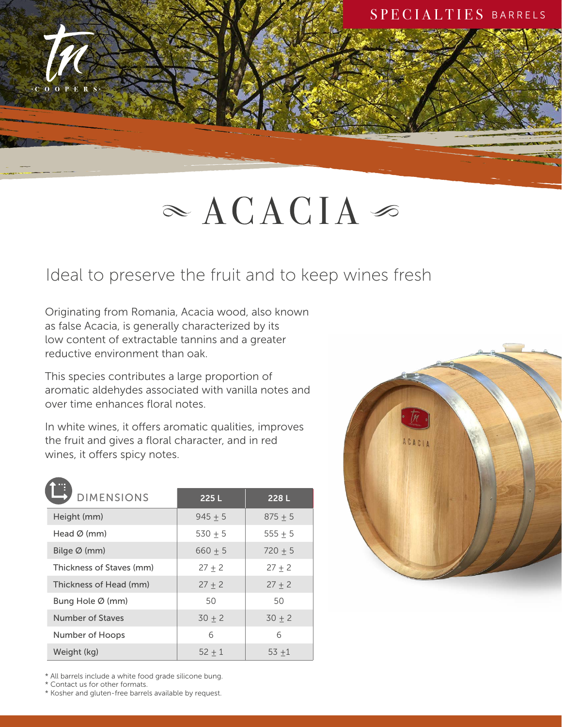

## $\alpha$  ACACIA

## Ideal to preserve the fruit and to keep wines fresh

Originating from Romania, Acacia wood, also known as false Acacia, is generally characterized by its low content of extractable tannins and a greater reductive environment than oak.

This species contributes a large proportion of aromatic aldehydes associated with vanilla notes and over time enhances floral notes.

In white wines, it offers aromatic qualities, improves the fruit and gives a floral character, and in red wines, it offers spicy notes.

| <b>DIMENSIONS</b>            | 225L      | 228 L     |
|------------------------------|-----------|-----------|
| Height (mm)                  | $945 + 5$ | $875 + 5$ |
| Head $\varnothing$ (mm)      | $530 + 5$ | $555 + 5$ |
| Bilge $\varnothing$ (mm)     | $660 + 5$ | $720 + 5$ |
| Thickness of Staves (mm)     | $27 + 2$  | $27 + 2$  |
| Thickness of Head (mm)       | $27 + 2$  | $27 + 2$  |
| Bung Hole $\varnothing$ (mm) | 50        | 50        |
| Number of Staves             | $30 + 2$  | $30 + 2$  |
| Number of Hoops              | 6         | 6         |
| Weight (kg)                  | $52 + 1$  | $53 + 1$  |



\* All barrels include a white food grade silicone bung.

\* Contact us for other formats.

\* Kosher and gluten-free barrels available by request.